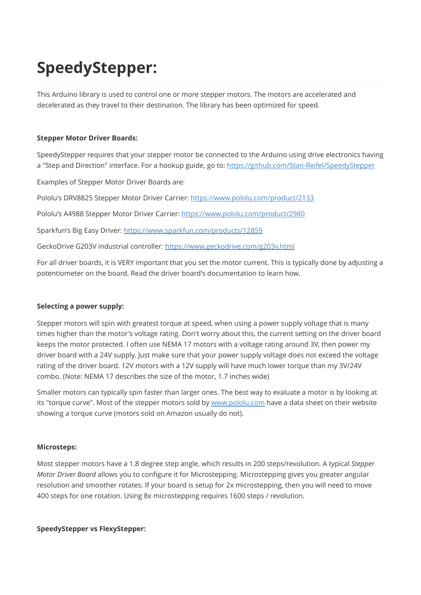# SpeedyStepper:

This Arduino library is used to control one or more stepper motors. The motors are accelerated and decelerated as they travel to their destination. The library has been optimized for speed.

#### Stepper Motor Driver Boards:

SpeedyStepper requires that your stepper motor be connected to the Arduino using drive electronics having a "Step and Direction" interface. For a hookup guide, go to: <https://github.com/Stan-Reifel/SpeedyStepper>

Examples of Stepper Motor Driver Boards are:

Pololu's DRV8825 Stepper Motor Driver Carrier:<https://www.pololu.com/product/2133>

Pololu's A4988 Stepper Motor Driver Carrier: <https://www.pololu.com/product/2980>

Sparkfun's Big Easy Driver:<https://www.sparkfun.com/products/12859>

GeckoDrive G203V industrial controller:<https://www.geckodrive.com/g203v.html>

For all driver boards, it is VERY important that you set the motor current. This is typically done by adjusting a potentiometer on the board. Read the driver board's documentation to learn how.

#### Selecting a power supply:

Stepper motors will spin with greatest torque at speed, when using a power supply voltage that is many times higher than the motor's voltage rating. Don't worry about this, the current setting on the driver board keeps the motor protected. I often use NEMA 17 motors with a voltage rating around 3V, then power my driver board with a 24V supply. Just make sure that your power supply voltage does not exceed the voltage rating of the driver board. 12V motors with a 12V supply will have much lower torque than my 3V/24V combo. (Note: NEMA 17 describes the size of the motor, 1.7 inches wide)

Smaller motors can typically spin faster than larger ones. The best way to evaluate a motor is by looking at its "torque curve". Most of the stepper motors sold by [www.pololu.com](http://www.pololu.com/) have a data sheet on their website showing a torque curve (motors sold on Amazon usually do not).

#### Microsteps:

Most stepper motors have a 1.8 degree step angle, which results in 200 steps/revolution. A typical Stepper Motor Driver Board allows you to configure it for Microstepping. Microstepping gives you greater angular resolution and smoother rotates. If your board is setup for 2x microstepping, then you will need to move 400 steps for one rotation. Using 8x microstepping requires 1600 steps / revolution.

SpeedyStepper vs FlexyStepper: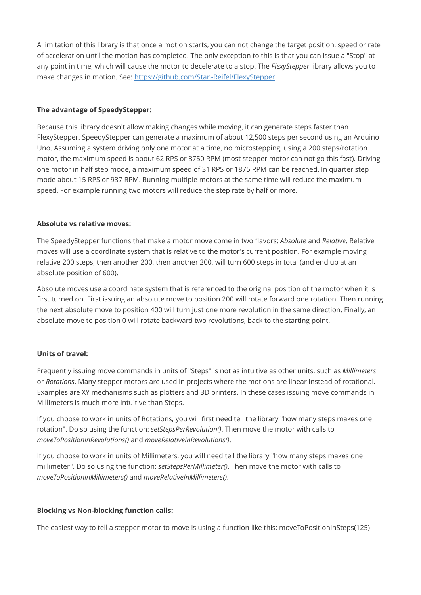A limitation of this library is that once a motion starts, you can not change the target position, speed or rate of acceleration until the motion has completed. The only exception to this is that you can issue a "Stop" at any point in time, which will cause the motor to decelerate to a stop. The FlexyStepper library allows you to make changes in motion. See:<https://github.com/Stan-Reifel/FlexyStepper>

#### The advantage of SpeedyStepper:

Because this library doesn't allow making changes while moving, it can generate steps faster than FlexyStepper. SpeedyStepper can generate a maximum of about 12,500 steps per second using an Arduino Uno. Assuming a system driving only one motor at a time, no microstepping, using a 200 steps/rotation motor, the maximum speed is about 62 RPS or 3750 RPM (most stepper motor can not go this fast). Driving one motor in half step mode, a maximum speed of 31 RPS or 1875 RPM can be reached. In quarter step mode about 15 RPS or 937 RPM. Running multiple motors at the same time will reduce the maximum speed. For example running two motors will reduce the step rate by half or more.

#### Absolute vs relative moves:

The SpeedyStepper functions that make a motor move come in two flavors: Absolute and Relative. Relative moves will use a coordinate system that is relative to the motor's current position. For example moving relative 200 steps, then another 200, then another 200, will turn 600 steps in total (and end up at an absolute position of 600).

Absolute moves use a coordinate system that is referenced to the original position of the motor when it is first turned on. First issuing an absolute move to position 200 will rotate forward one rotation. Then running the next absolute move to position 400 will turn just one more revolution in the same direction. Finally, an absolute move to position 0 will rotate backward two revolutions, back to the starting point.

#### Units of travel:

Frequently issuing move commands in units of "Steps" is not as intuitive as other units, such as Millimeters or Rotations. Many stepper motors are used in projects where the motions are linear instead of rotational. Examples are XY mechanisms such as plotters and 3D printers. In these cases issuing move commands in Millimeters is much more intuitive than Steps.

If you choose to work in units of Rotations, you will first need tell the library "how many steps makes one rotation". Do so using the function: setStepsPerRevolution(). Then move the motor with calls to moveToPositionInRevolutions() and moveRelativeInRevolutions().

If you choose to work in units of Millimeters, you will need tell the library "how many steps makes one millimeter". Do so using the function: setStepsPerMillimeter(). Then move the motor with calls to moveToPositionInMillimeters() and moveRelativeInMillimeters().

#### Blocking vs Non-blocking function calls:

The easiest way to tell a stepper motor to move is using a function like this: moveToPositionInSteps(125)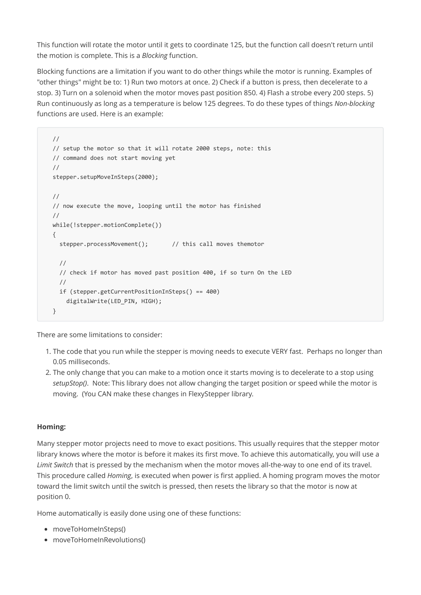This function will rotate the motor until it gets to coordinate 125, but the function call doesn't return until the motion is complete. This is a Blocking function.

Blocking functions are a limitation if you want to do other things while the motor is running. Examples of "other things" might be to: 1) Run two motors at once. 2) Check if a button is press, then decelerate to a stop. 3) Turn on a solenoid when the motor moves past position 850. 4) Flash a strobe every 200 steps. 5) Run continuously as long as a temperature is below 125 degrees. To do these types of things Non-blocking functions are used. Here is an example:

```
//
// setup the motor so that it will rotate 2000 steps, note: this
// command does not start moving yet
//
stepper.setupMoveInSteps(2000);
//
// now execute the move, looping until the motor has finished
//
while(!stepper.motionComplete())
{
  stepper.processMovement(); \frac{1}{2} // this call moves themotor
  //
  // check if motor has moved past position 400, if so turn On the LED
  //
  if (stepper.getCurrentPositionInSteps() == 400)
    digitalWrite(LED_PIN, HIGH);
}
```
There are some limitations to consider:

- 1. The code that you run while the stepper is moving needs to execute VERY fast. Perhaps no longer than 0.05 milliseconds.
- 2. The only change that you can make to a motion once it starts moving is to decelerate to a stop using setupStop(). Note: This library does not allow changing the target position or speed while the motor is moving. (You CAN make these changes in FlexyStepper library.

#### Homing:

Many stepper motor projects need to move to exact positions. This usually requires that the stepper motor library knows where the motor is before it makes its first move. To achieve this automatically, you will use a Limit Switch that is pressed by the mechanism when the motor moves all-the-way to one end of its travel. This procedure called Homing, is executed when power is first applied. A homing program moves the motor toward the limit switch until the switch is pressed, then resets the library so that the motor is now at position 0.

Home automatically is easily done using one of these functions:

- moveToHomeInSteps()
- moveToHomeInRevolutions()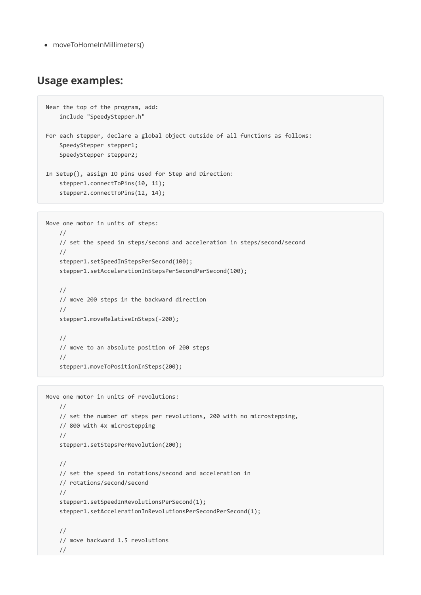moveToHomeInMillimeters()

## Usage examples:

```
Near the top of the program, add:
   include "SpeedyStepper.h"
For each stepper, declare a global object outside of all functions as follows:
   SpeedyStepper stepper1;
   SpeedyStepper stepper2;
In Setup(), assign IO pins used for Step and Direction:
   stepper1.connectToPins(10, 11);
    stepper2.connectToPins(12, 14);
```

```
Move one motor in units of steps:
   //
   // set the speed in steps/second and acceleration in steps/second/second
   //
    stepper1.setSpeedInStepsPerSecond(100);
    stepper1.setAccelerationInStepsPerSecondPerSecond(100);
    //
   // move 200 steps in the backward direction
    //
    stepper1.moveRelativeInSteps(-200);
    //
    // move to an absolute position of 200 steps
    //
    stepper1.moveToPositionInSteps(200);
```

```
Move one motor in units of revolutions:
   //
    // set the number of steps per revolutions, 200 with no microstepping,
   // 800 with 4x microstepping
   //
    stepper1.setStepsPerRevolution(200);
    //
   // set the speed in rotations/second and acceleration in
    // rotations/second/second
    //
    stepper1.setSpeedInRevolutionsPerSecond(1);
    stepper1.setAccelerationInRevolutionsPerSecondPerSecond(1);
    //
    // move backward 1.5 revolutions
    //
```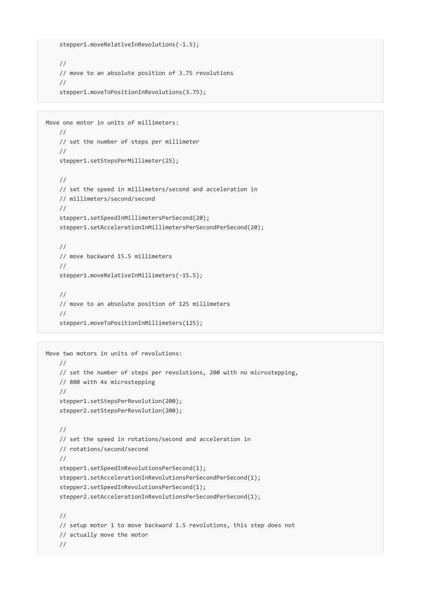```
stepper1.moveRelativeInRevolutions(-1.5);
//
// move to an absolute position of 3.75 revolutions
//
stepper1.moveToPositionInRevolutions(3.75);
```

```
Move one motor in units of millimeters:
   //
   // set the number of steps per millimeter
   //
   stepper1.setStepsPerMillimeter(25);
   //
   // set the speed in millimeters/second and acceleration in
   // millimeters/second/second
    //
    stepper1.setSpeedInMillimetersPerSecond(20);
    stepper1.setAccelerationInMillimetersPerSecondPerSecond(20);
    //
    // move backward 15.5 millimeters
    //
    stepper1.moveRelativeInMillimeters(-15.5);
    //
    // move to an absolute position of 125 millimeters
    //
    stepper1.moveToPositionInMillimeters(125);
```

```
Move two motors in units of revolutions:
   //
   // set the number of steps per revolutions, 200 with no microstepping,
   // 800 with 4x microstepping
    //
    stepper1.setStepsPerRevolution(200);
    stepper2.setStepsPerRevolution(200);
    //
    // set the speed in rotations/second and acceleration in
    // rotations/second/second
    //
    stepper1.setSpeedInRevolutionsPerSecond(1);
    stepper1.setAccelerationInRevolutionsPerSecondPerSecond(1);
    stepper2.setSpeedInRevolutionsPerSecond(1);
    stepper2.setAccelerationInRevolutionsPerSecondPerSecond(1);
    //
    // setup motor 1 to move backward 1.5 revolutions, this step does not
    // actually move the motor
    //
```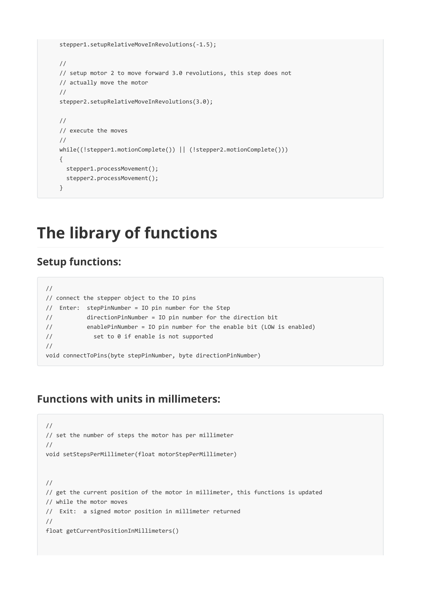```
stepper1.setupRelativeMoveInRevolutions(-1.5);
//
// setup motor 2 to move forward 3.0 revolutions, this step does not
// actually move the motor
//
stepper2.setupRelativeMoveInRevolutions(3.0);
//
// execute the moves
//
while((!stepper1.motionComplete()) || (!stepper2.motionComplete()))
{
 stepper1.processMovement();
  stepper2.processMovement();
}
```
## The library of functions

## Setup functions:

```
//
// connect the stepper object to the IO pins
// Enter: stepPinNumber = IO pin number for the Step
// directionPinNumber = IO pin number for the direction bit
// enablePinNumber = IO pin number for the enable bit (LOW is enabled)
// set to 0 if enable is not supported
//
void connectToPins(byte stepPinNumber, byte directionPinNumber)
```
## Functions with units in millimeters:

```
//
// set the number of steps the motor has per millimeter
//
void setStepsPerMillimeter(float motorStepPerMillimeter)
//
// get the current position of the motor in millimeter, this functions is updated
// while the motor moves
// Exit: a signed motor position in millimeter returned
//
float getCurrentPositionInMillimeters()
```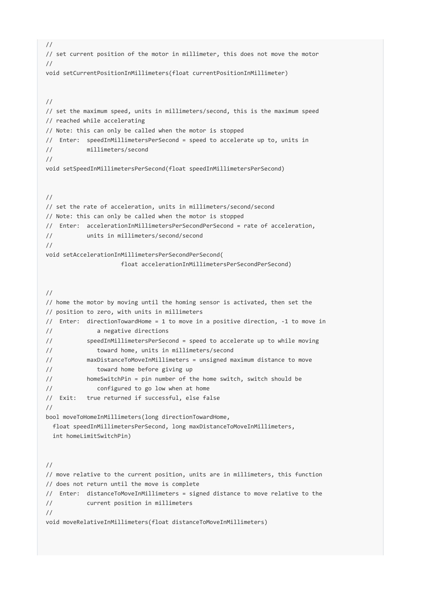```
//
// set current position of the motor in millimeter, this does not move the motor
//
void setCurrentPositionInMillimeters(float currentPositionInMillimeter)
//
// set the maximum speed, units in millimeters/second, this is the maximum speed
// reached while accelerating
// Note: this can only be called when the motor is stopped
// Enter: speedInMillimetersPerSecond = speed to accelerate up to, units in
// millimeters/second
//
void setSpeedInMillimetersPerSecond(float speedInMillimetersPerSecond)
//
// set the rate of acceleration, units in millimeters/second/second
// Note: this can only be called when the motor is stopped
// Enter: accelerationInMillimetersPerSecondPerSecond = rate of acceleration,
// units in millimeters/second/second
//
void setAccelerationInMillimetersPerSecondPerSecond(
                    float accelerationInMillimetersPerSecondPerSecond)
//
// home the motor by moving until the homing sensor is activated, then set the
// position to zero, with units in millimeters
// Enter: directionTowardHome = 1 to move in a positive direction, -1 to move in
// a negative directions
// speedInMillimetersPerSecond = speed to accelerate up to while moving
// toward home, units in millimeters/second
// maxDistanceToMoveInMillimeters = unsigned maximum distance to move
// toward home before giving up
// homeSwitchPin = pin number of the home switch, switch should be
// configured to go low when at home
// Exit: true returned if successful, else false
//
bool moveToHomeInMillimeters(long directionTowardHome,
 float speedInMillimetersPerSecond, long maxDistanceToMoveInMillimeters,
 int homeLimitSwitchPin)
//
// move relative to the current position, units are in millimeters, this function
// does not return until the move is complete
// Enter: distanceToMoveInMillimeters = signed distance to move relative to the
// current position in millimeters
//
void moveRelativeInMillimeters(float distanceToMoveInMillimeters)
```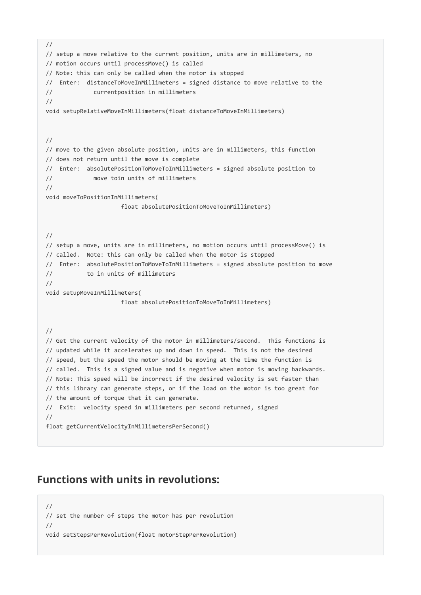```
//
// setup a move relative to the current position, units are in millimeters, no
// motion occurs until processMove() is called
// Note: this can only be called when the motor is stopped
// Enter: distanceToMoveInMillimeters = signed distance to move relative to the
// currentposition in millimeters
//
void setupRelativeMoveInMillimeters(float distanceToMoveInMillimeters)
//
// move to the given absolute position, units are in millimeters, this function
// does not return until the move is complete
// Enter: absolutePositionToMoveToInMillimeters = signed absolute position to
// move toin units of millimeters
//
void moveToPositionInMillimeters(
                     float absolutePositionToMoveToInMillimeters)
//
// setup a move, units are in millimeters, no motion occurs until processMove() is
// called. Note: this can only be called when the motor is stopped
// Enter: absolutePositionToMoveToInMillimeters = signed absolute position to move
// to in units of millimeters
//
void setupMoveInMillimeters(
                    float absolutePositionToMoveToInMillimeters)
//
// Get the current velocity of the motor in millimeters/second. This functions is
// updated while it accelerates up and down in speed. This is not the desired
// speed, but the speed the motor should be moving at the time the function is
// called. This is a signed value and is negative when motor is moving backwards.
// Note: This speed will be incorrect if the desired velocity is set faster than
// this library can generate steps, or if the load on the motor is too great for
// the amount of torque that it can generate.
// Exit: velocity speed in millimeters per second returned, signed
//
float getCurrentVelocityInMillimetersPerSecond()
```
## Functions with units in revolutions:

// // set the number of steps the motor has per revolution // void setStepsPerRevolution(float motorStepPerRevolution)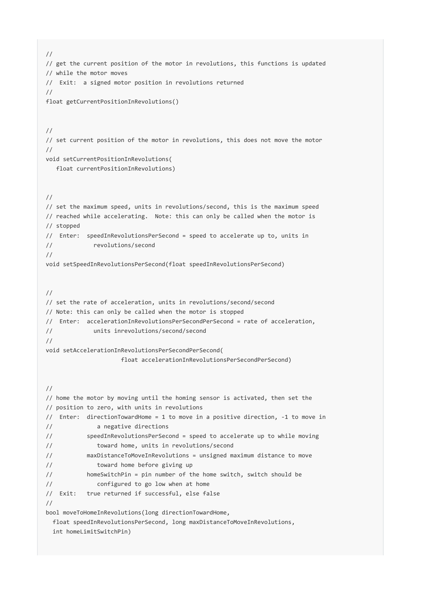```
//
// get the current position of the motor in revolutions, this functions is updated
// while the motor moves
// Exit: a signed motor position in revolutions returned
//
float getCurrentPositionInRevolutions()
//
// set current position of the motor in revolutions, this does not move the motor
//
void setCurrentPositionInRevolutions(
  float currentPositionInRevolutions)
//
// set the maximum speed, units in revolutions/second, this is the maximum speed
// reached while accelerating. Note: this can only be called when the motor is
// stopped
// Enter: speedInRevolutionsPerSecond = speed to accelerate up to, units in
// revolutions/second
//
void setSpeedInRevolutionsPerSecond(float speedInRevolutionsPerSecond)
//
// set the rate of acceleration, units in revolutions/second/second
// Note: this can only be called when the motor is stopped
// Enter: accelerationInRevolutionsPerSecondPerSecond = rate of acceleration,
// units inrevolutions/second/second
//
void setAccelerationInRevolutionsPerSecondPerSecond(
                    float accelerationInRevolutionsPerSecondPerSecond)
//
// home the motor by moving until the homing sensor is activated, then set the
// position to zero, with units in revolutions
// Enter: directionTowardHome = 1 to move in a positive direction, -1 to move in
// a negative directions
// speedInRevolutionsPerSecond = speed to accelerate up to while moving
// toward home, units in revolutions/second
// maxDistanceToMoveInRevolutions = unsigned maximum distance to move
// toward home before giving up
// homeSwitchPin = pin number of the home switch, switch should be
// configured to go low when at home
// Exit: true returned if successful, else false
//
bool moveToHomeInRevolutions(long directionTowardHome,
 float speedInRevolutionsPerSecond, long maxDistanceToMoveInRevolutions,
 int homeLimitSwitchPin)
```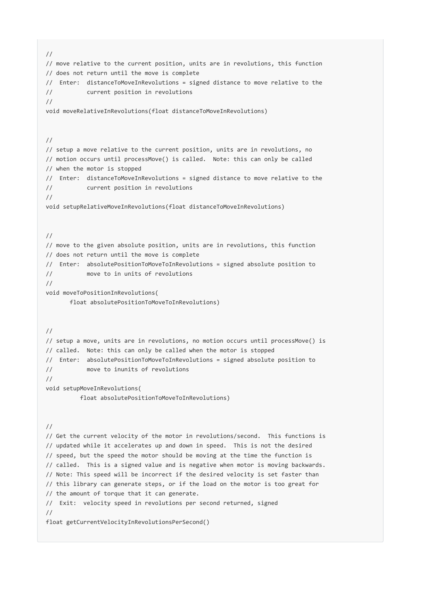// // move relative to the current position, units are in revolutions, this function // does not return until the move is complete // Enter: distanceToMoveInRevolutions = signed distance to move relative to the // current position in revolutions // void moveRelativeInRevolutions(float distanceToMoveInRevolutions) // // setup a move relative to the current position, units are in revolutions, no // motion occurs until processMove() is called. Note: this can only be called // when the motor is stopped // Enter: distanceToMoveInRevolutions = signed distance to move relative to the // current position in revolutions // void setupRelativeMoveInRevolutions(float distanceToMoveInRevolutions) // // move to the given absolute position, units are in revolutions, this function // does not return until the move is complete // Enter: absolutePositionToMoveToInRevolutions = signed absolute position to // move to in units of revolutions // void moveToPositionInRevolutions( float absolutePositionToMoveToInRevolutions) // // setup a move, units are in revolutions, no motion occurs until processMove() is // called. Note: this can only be called when the motor is stopped // Enter: absolutePositionToMoveToInRevolutions = signed absolute position to // move to inunits of revolutions // void setupMoveInRevolutions( float absolutePositionToMoveToInRevolutions) // // Get the current velocity of the motor in revolutions/second. This functions is // updated while it accelerates up and down in speed. This is not the desired // speed, but the speed the motor should be moving at the time the function is // called. This is a signed value and is negative when motor is moving backwards. // Note: This speed will be incorrect if the desired velocity is set faster than // this library can generate steps, or if the load on the motor is too great for // the amount of torque that it can generate. // Exit: velocity speed in revolutions per second returned, signed // float getCurrentVelocityInRevolutionsPerSecond()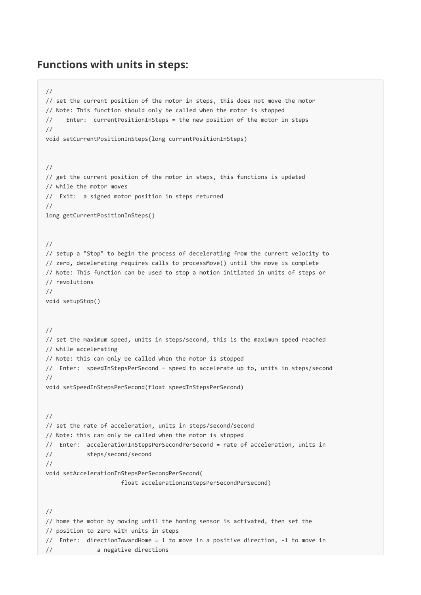### Functions with units in steps:

```
//
// set the current position of the motor in steps, this does not move the motor
// Note: This function should only be called when the motor is stopped
// Enter: currentPositionInSteps = the new position of the motor in steps
//
void setCurrentPositionInSteps(long currentPositionInSteps)
//
// get the current position of the motor in steps, this functions is updated
// while the motor moves
// Exit: a signed motor position in steps returned
//
long getCurrentPositionInSteps()
//
// setup a "Stop" to begin the process of decelerating from the current velocity to
// zero, decelerating requires calls to processMove() until the move is complete
// Note: This function can be used to stop a motion initiated in units of steps or
// revolutions
//
void setupStop()
//
// set the maximum speed, units in steps/second, this is the maximum speed reached
// while accelerating
// Note: this can only be called when the motor is stopped
// Enter: speedInStepsPerSecond = speed to accelerate up to, units in steps/second
//
void setSpeedInStepsPerSecond(float speedInStepsPerSecond)
//
// set the rate of acceleration, units in steps/second/second
// Note: this can only be called when the motor is stopped
// Enter: accelerationInStepsPerSecondPerSecond = rate of acceleration, units in
// steps/second/second
//
void setAccelerationInStepsPerSecondPerSecond(
                     float accelerationInStepsPerSecondPerSecond)
//
// home the motor by moving until the homing sensor is activated, then set the
// position to zero with units in steps
// Enter: directionTowardHome = 1 to move in a positive direction, -1 to move in
// a negative directions
```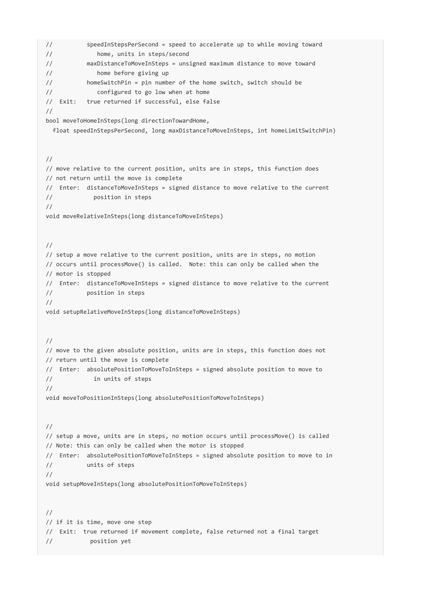// speedInStepsPerSecond = speed to accelerate up to while moving toward // home, units in steps/second // maxDistanceToMoveInSteps = unsigned maximum distance to move toward // home before giving up // homeSwitchPin = pin number of the home switch, switch should be // configured to go low when at home // Exit: true returned if successful, else false // bool moveToHomeInSteps(long directionTowardHome, float speedInStepsPerSecond, long maxDistanceToMoveInSteps, int homeLimitSwitchPin) // // move relative to the current position, units are in steps, this function does // not return until the move is complete // Enter: distanceToMoveInSteps = signed distance to move relative to the current // position in steps // void moveRelativeInSteps(long distanceToMoveInSteps) // // setup a move relative to the current position, units are in steps, no motion // occurs until processMove() is called. Note: this can only be called when the // motor is stopped // Enter: distanceToMoveInSteps = signed distance to move relative to the current // position in steps // void setupRelativeMoveInSteps(long distanceToMoveInSteps) // // move to the given absolute position, units are in steps, this function does not // return until the move is complete // Enter: absolutePositionToMoveToInSteps = signed absolute position to move to // in units of steps // void moveToPositionInSteps(long absolutePositionToMoveToInSteps) // // setup a move, units are in steps, no motion occurs until processMove() is called // Note: this can only be called when the motor is stopped // Enter: absolutePositionToMoveToInSteps = signed absolute position to move to in // units of steps // void setupMoveInSteps(long absolutePositionToMoveToInSteps) // // if it is time, move one step // Exit: true returned if movement complete, false returned not a final target // position yet